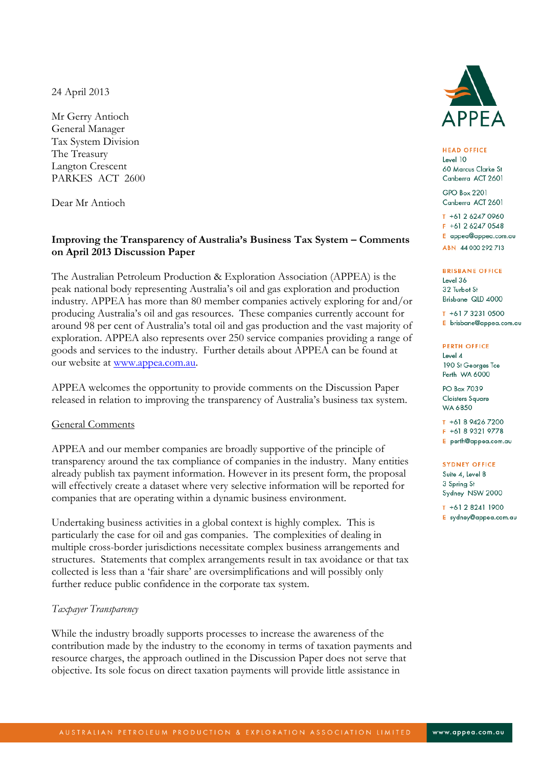24 April 2013

Mr Gerry Antioch General Manager Tax System Division The Treasury Langton Crescent PARKES ACT 2600

Dear Mr Antioch

# **Improving the Transparency of Australia's Business Tax System – Comments on April 2013 Discussion Paper**

The Australian Petroleum Production & Exploration Association (APPEA) is the peak national body representing Australia"s oil and gas exploration and production industry. APPEA has more than 80 member companies actively exploring for and/or producing Australia"s oil and gas resources. These companies currently account for around 98 per cent of Australia"s total oil and gas production and the vast majority of exploration. APPEA also represents over 250 service companies providing a range of goods and services to the industry. Further details about APPEA can be found at our website at [www.appea.com.au.](http://www.appea.com.au/)

APPEA welcomes the opportunity to provide comments on the Discussion Paper released in relation to improving the transparency of Australia"s business tax system.

# General Comments

APPEA and our member companies are broadly supportive of the principle of transparency around the tax compliance of companies in the industry. Many entities already publish tax payment information. However in its present form, the proposal will effectively create a dataset where very selective information will be reported for companies that are operating within a dynamic business environment.

Undertaking business activities in a global context is highly complex. This is particularly the case for oil and gas companies. The complexities of dealing in multiple cross-border jurisdictions necessitate complex business arrangements and structures. Statements that complex arrangements result in tax avoidance or that tax collected is less than a "fair share" are oversimplifications and will possibly only further reduce public confidence in the corporate tax system.

# *Taxpayer Transparency*

While the industry broadly supports processes to increase the awareness of the contribution made by the industry to the economy in terms of taxation payments and resource charges, the approach outlined in the Discussion Paper does not serve that objective. Its sole focus on direct taxation payments will provide little assistance in



**HEAD OFFICE** Level 10 60 Marcus Clarke St Canberra ACT 2601

**GPO Box 2201** Canberra ACT 2601

T +61 2 6247 0960 F +61 2 6247 0548 E appea@appea.com.au ABN 44 000 292 713

#### **BRISBANE OFFICE**

Level 36 32 Turbot St Brisbane QLD 4000

T +61 7 3231 0500 E brisbane@appea.com.au

#### **PERTH OFFICE**

Level 4 190 St Georges Tce Perth WA 6000

PO Box 7039 Cloisters Square WA 6850

T +61 8 9426 7200 F +61 8 9321 9778 E perth@appea.com.au

#### **SYDNEY OFFICE**

Suite 4, Level 8 3 Spring St Sydney NSW 2000

T +61 2 8241 1900

E sydney@appea.com.au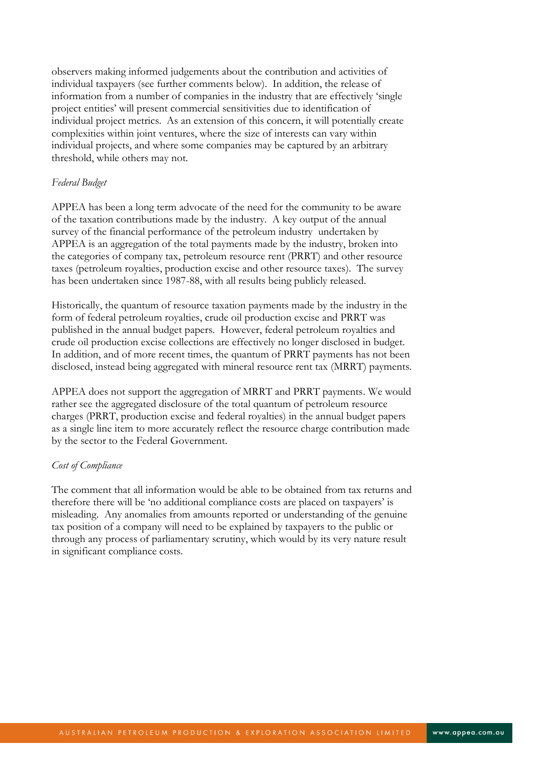observers making informed judgements about the contribution and activities of individual taxpayers (see further comments below). In addition, the release of information from a number of companies in the industry that are effectively "single project entities" will present commercial sensitivities due to identification of individual project metrics. As an extension of this concern, it will potentially create complexities within joint ventures, where the size of interests can vary within individual projects, and where some companies may be captured by an arbitrary threshold, while others may not.

### *Federal Budget*

APPEA has been a long term advocate of the need for the community to be aware of the taxation contributions made by the industry. A key output of the annual survey of the financial performance of the petroleum industry undertaken by APPEA is an aggregation of the total payments made by the industry, broken into the categories of company tax, petroleum resource rent (PRRT) and other resource taxes (petroleum royalties, production excise and other resource taxes). The survey has been undertaken since 1987-88, with all results being publicly released.

Historically, the quantum of resource taxation payments made by the industry in the form of federal petroleum royalties, crude oil production excise and PRRT was published in the annual budget papers. However, federal petroleum royalties and crude oil production excise collections are effectively no longer disclosed in budget. In addition, and of more recent times, the quantum of PRRT payments has not been disclosed, instead being aggregated with mineral resource rent tax (MRRT) payments.

APPEA does not support the aggregation of MRRT and PRRT payments. We would rather see the aggregated disclosure of the total quantum of petroleum resource charges (PRRT, production excise and federal royalties) in the annual budget papers as a single line item to more accurately reflect the resource charge contribution made by the sector to the Federal Government.

### *Cost of Compliance*

The comment that all information would be able to be obtained from tax returns and therefore there will be "no additional compliance costs are placed on taxpayers" is misleading. Any anomalies from amounts reported or understanding of the genuine tax position of a company will need to be explained by taxpayers to the public or through any process of parliamentary scrutiny, which would by its very nature result in significant compliance costs.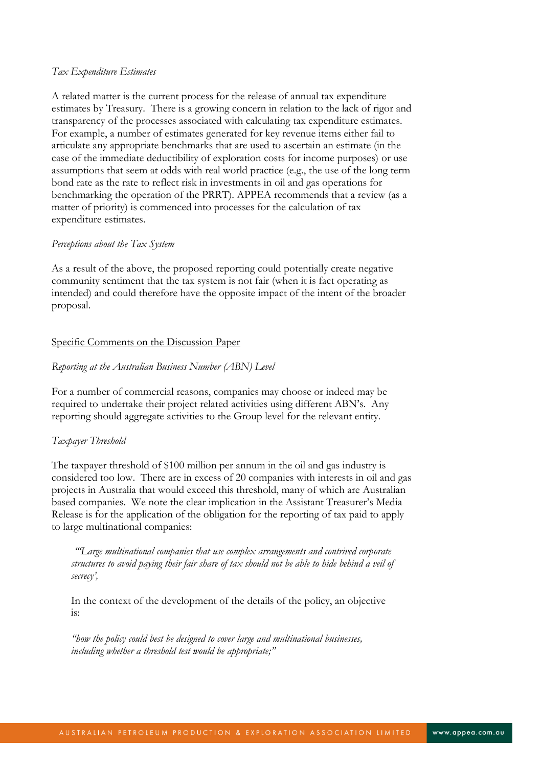### *Tax Expenditure Estimates*

A related matter is the current process for the release of annual tax expenditure estimates by Treasury. There is a growing concern in relation to the lack of rigor and transparency of the processes associated with calculating tax expenditure estimates. For example, a number of estimates generated for key revenue items either fail to articulate any appropriate benchmarks that are used to ascertain an estimate (in the case of the immediate deductibility of exploration costs for income purposes) or use assumptions that seem at odds with real world practice (e.g., the use of the long term bond rate as the rate to reflect risk in investments in oil and gas operations for benchmarking the operation of the PRRT). APPEA recommends that a review (as a matter of priority) is commenced into processes for the calculation of tax expenditure estimates.

### *Perceptions about the Tax System*

As a result of the above, the proposed reporting could potentially create negative community sentiment that the tax system is not fair (when it is fact operating as intended) and could therefore have the opposite impact of the intent of the broader proposal.

# Specific Comments on the Discussion Paper

# *Reporting at the Australian Business Number (ABN) Level*

For a number of commercial reasons, companies may choose or indeed may be required to undertake their project related activities using different ABN"s. Any reporting should aggregate activities to the Group level for the relevant entity.

# *Taxpayer Threshold*

The taxpayer threshold of \$100 million per annum in the oil and gas industry is considered too low. There are in excess of 20 companies with interests in oil and gas projects in Australia that would exceed this threshold, many of which are Australian based companies. We note the clear implication in the Assistant Treasurer"s Media Release is for the application of the obligation for the reporting of tax paid to apply to large multinational companies:

*""Large multinational companies that use complex arrangements and contrived corporate structures to avoid paying their fair share of tax should not be able to hide behind a veil of secrecy",*

In the context of the development of the details of the policy, an objective is:

*"how the policy could best be designed to cover large and multinational businesses, including whether a threshold test would be appropriate;"*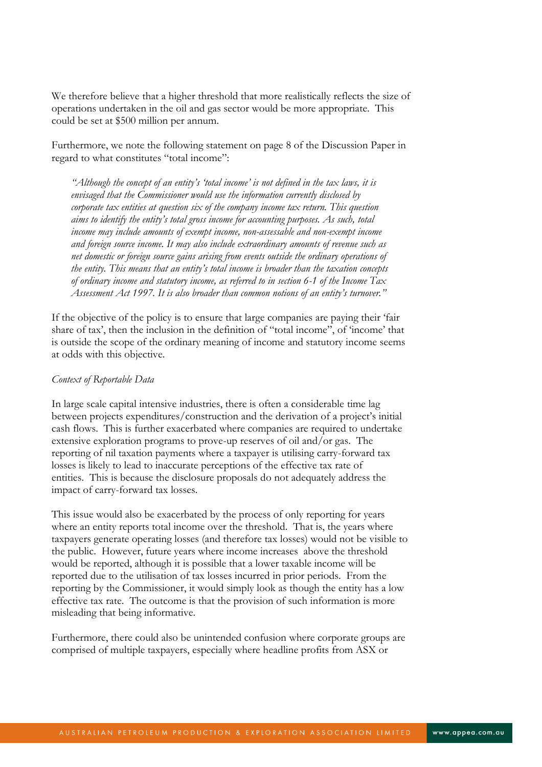We therefore believe that a higher threshold that more realistically reflects the size of operations undertaken in the oil and gas sector would be more appropriate. This could be set at \$500 million per annum.

Furthermore, we note the following statement on page 8 of the Discussion Paper in regard to what constitutes "total income":

*"Although the concept of an entity"s "total income" is not defined in the tax laws, it is envisaged that the Commissioner would use the information currently disclosed by corporate tax entities at question six of the company income tax return. This question aims to identify the entity"s total gross income for accounting purposes. As such, total income may include amounts of exempt income, non-assessable and non-exempt income and foreign source income. It may also include extraordinary amounts of revenue such as net domestic or foreign source gains arising from events outside the ordinary operations of the entity. This means that an entity"s total income is broader than the taxation concepts of ordinary income and statutory income, as referred to in section 6-1 of the Income Tax Assessment Act 1997. It is also broader than common notions of an entity"s turnover."*

If the objective of the policy is to ensure that large companies are paying their "fair share of tax', then the inclusion in the definition of "total income", of "income" that is outside the scope of the ordinary meaning of income and statutory income seems at odds with this objective.

# *Context of Reportable Data*

In large scale capital intensive industries, there is often a considerable time lag between projects expenditures/construction and the derivation of a project"s initial cash flows. This is further exacerbated where companies are required to undertake extensive exploration programs to prove-up reserves of oil and/or gas. The reporting of nil taxation payments where a taxpayer is utilising carry-forward tax losses is likely to lead to inaccurate perceptions of the effective tax rate of entities. This is because the disclosure proposals do not adequately address the impact of carry-forward tax losses.

This issue would also be exacerbated by the process of only reporting for years where an entity reports total income over the threshold. That is, the years where taxpayers generate operating losses (and therefore tax losses) would not be visible to the public. However, future years where income increases above the threshold would be reported, although it is possible that a lower taxable income will be reported due to the utilisation of tax losses incurred in prior periods. From the reporting by the Commissioner, it would simply look as though the entity has a low effective tax rate. The outcome is that the provision of such information is more misleading that being informative.

Furthermore, there could also be unintended confusion where corporate groups are comprised of multiple taxpayers, especially where headline profits from ASX or